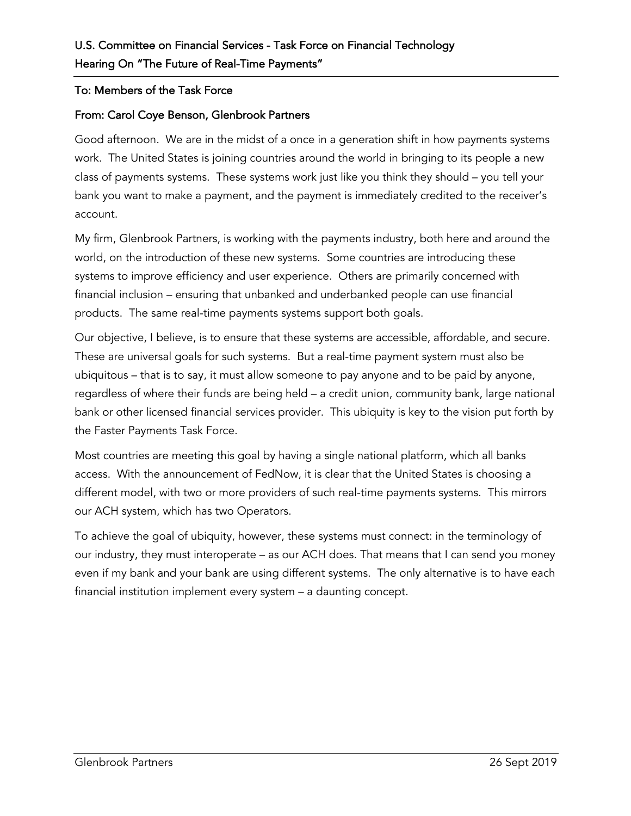## To: Members of the Task Force

## From: Carol Coye Benson, Glenbrook Partners

Good afternoon. We are in the midst of a once in a generation shift in how payments systems work. The United States is joining countries around the world in bringing to its people a new class of payments systems. These systems work just like you think they should – you tell your bank you want to make a payment, and the payment is immediately credited to the receiver's account.

My firm, Glenbrook Partners, is working with the payments industry, both here and around the world, on the introduction of these new systems. Some countries are introducing these systems to improve efficiency and user experience. Others are primarily concerned with financial inclusion – ensuring that unbanked and underbanked people can use financial products. The same real-time payments systems support both goals.

Our objective, I believe, is to ensure that these systems are accessible, affordable, and secure. These are universal goals for such systems. But a real-time payment system must also be ubiquitous – that is to say, it must allow someone to pay anyone and to be paid by anyone, regardless of where their funds are being held – a credit union, community bank, large national bank or other licensed financial services provider. This ubiquity is key to the vision put forth by the Faster Payments Task Force.

Most countries are meeting this goal by having a single national platform, which all banks access. With the announcement of FedNow, it is clear that the United States is choosing a different model, with two or more providers of such real-time payments systems. This mirrors our ACH system, which has two Operators.

To achieve the goal of ubiquity, however, these systems must connect: in the terminology of our industry, they must interoperate – as our ACH does. That means that I can send you money even if my bank and your bank are using different systems. The only alternative is to have each financial institution implement every system – a daunting concept.